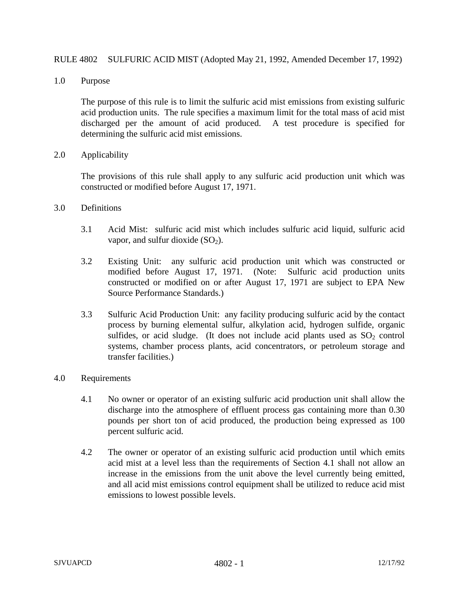## RULE 4802 SULFURIC ACID MIST (Adopted May 21, 1992, Amended December 17, 1992)

1.0 Purpose

The purpose of this rule is to limit the sulfuric acid mist emissions from existing sulfuric acid production units. The rule specifies a maximum limit for the total mass of acid mist discharged per the amount of acid produced. A test procedure is specified for determining the sulfuric acid mist emissions.

2.0 Applicability

The provisions of this rule shall apply to any sulfuric acid production unit which was constructed or modified before August 17, 1971.

- 3.0 Definitions
	- 3.1 Acid Mist: sulfuric acid mist which includes sulfuric acid liquid, sulfuric acid vapor, and sulfur dioxide  $(SO<sub>2</sub>)$ .
	- 3.2 Existing Unit: any sulfuric acid production unit which was constructed or modified before August 17, 1971. (Note: Sulfuric acid production units constructed or modified on or after August 17, 1971 are subject to EPA New Source Performance Standards.)
	- 3.3 Sulfuric Acid Production Unit: any facility producing sulfuric acid by the contact process by burning elemental sulfur, alkylation acid, hydrogen sulfide, organic sulfides, or acid sludge. (It does not include acid plants used as  $SO<sub>2</sub>$  control systems, chamber process plants, acid concentrators, or petroleum storage and transfer facilities.)
- 4.0 Requirements
	- 4.1 No owner or operator of an existing sulfuric acid production unit shall allow the discharge into the atmosphere of effluent process gas containing more than 0.30 pounds per short ton of acid produced, the production being expressed as 100 percent sulfuric acid.
	- 4.2 The owner or operator of an existing sulfuric acid production until which emits acid mist at a level less than the requirements of Section 4.1 shall not allow an increase in the emissions from the unit above the level currently being emitted, and all acid mist emissions control equipment shall be utilized to reduce acid mist emissions to lowest possible levels.